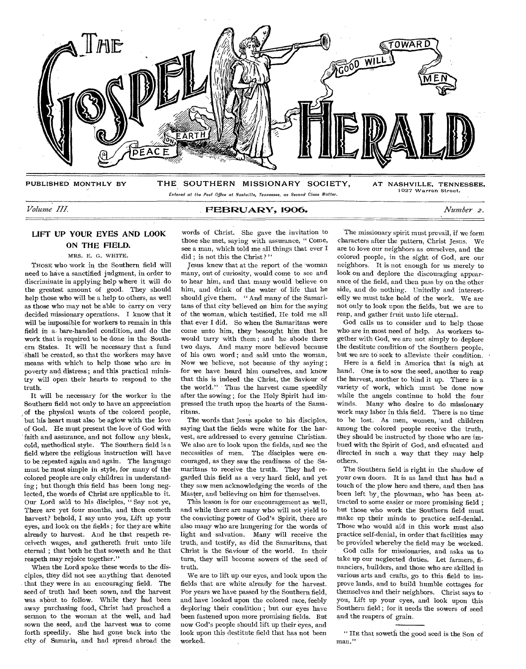

## *Volume III.* PE1312UARY, 1906. *Number 2.*

words of Christ. She gave the invitation to those she met, saying with assurance, " Come, see a man, which told me all things that ever I

# LIFT UP YOUR EYES AND LOOK ON THE FIELD.

MRS. E. G. WHITE.

THOSE who work in the Southern field will need to have a sanctified judgment, in order to discriminate in applying help where it will do the greatest amount of good. They should help those who will be a help to others, as well as those who may not be able to carry on very decided missionary operations. I know that it will be impossible for workers to remain in this field in a bare-handed condition, and do the work that is required to be done in the Southern States. It will be necessary that a fund shall be created, so that the workers may have means with which to help those who are in poverty and distress ; and this practical ministry will open their hearts to respond to the truth.

It will be necessary for the worker in the Southern field not only to have an appreciation of the physical wants of the colored people, but his heart must also be aglow with the love of God. He must present the love of God with faith and assurance, and not follow any bleak, cold, methodical style. The Southern field is a field where the religious instruction will have to be repeated again and again. The language must be most simple in style, for many of the colored people are only children in understanding ; but though this field has been long neglected, the words of Christ are applicable to it. Our Lord said to his disciples, " Say not ye, There are yet four months, and then cometh harvest? behold, I say unto you, Lift up your eyes, and look on the fields ; for they are white already to harvest. And he that reapeth receiveth wages, and gathereth fruit unto life eternal ; that both he that soweth and he that reapeth may rejoice together."

When the Lord spoke these words to the disciples, they did not see anything that denoted that they were in an encouraging field. The seed of truth had been sown, and the harvest was ahout to follow. While they had been away purchasing food, Christ had preached a sermon to the woman at the well, and had sown the seed, and the harvest was to come forth speedily. She had gone back into the city of Samaria, and had spread abroad the

did ; is not this the Christ?" Jesus knew that at the report of the 'woman many, out of curiosity, would come to see and to hear him, and that many would believe on him, and drink of the water of life that he should give them. " And many of the Samaritans of that city believed on him for the saying of the woman, which testified, He told me all that ever **I** did. So when the Samaritans were come unto him, they besought him that he would tarry with them ; and he abode there two days. And many more believed because of his own word ; and said unto the woman, Now we believe, not because of thy saying ; for we have heard him ourselves, and know that this is indeed the Christ, the Saviour of the world." Thus the harvest came speedily after the sowing ; for the Holy Spirit had impressed the truth upon the hearts of the Samaritans.

The words that Jesus spoke to his disciples, saying that the fields were white for the harvest, are addressed to every genuine Christian. We also are to look upon the fields, and see the necessities of men. The disciples were encouraged, as they saw the readiness of the Samaritans to receive the truth. They had regarded this field as a very hard field, and yet they saw men acknowledging the words of the Master, and believing on him for themselves.

This lesson is for our encouragement as well, and while there are many who will not yield to the convicting power of God's Spirit, there are also many who are hungering for the words of light and salvation. Many will receive the truth, and testify, as did the Samaritans, that Christ is the Saviour of the world. In their turn, they will become sowers of the seed of truth.

We are to lift up our eyes, and look upon the fields that are white already for the harvest. For years we have passed by the Southern field, and have looked upon the colored race, feebly deploring their condition ; but our eyes have been fastened upon more promising fields. But now God's people should lift up their eyes, and look upon this destitute field that has not been worked.

The missionary spirit must prevail, if we form characters after the pattern, Christ Jesus. We are to love our neighbors as ourselves, and the colored people, in the sight of God, are our neighbors. It is not enough for us merely to look on and deplore the discouraging appearance of the field, and then pass by on the other side, and do nothing. Unitedly and interestedly we must take hold of the work. We are not only to look upon the fields, but we are to reap, and gather fruit unto life eternal.

God calls us to consider and to help those who are in most need of help. As workers together with God, we are not simply to deplore the destitute condition of the Southern people, but we are to seek to alleviate their condition.

Here is a field in America that is nigh at hand. One is to sow the seed, another to reap the harvest, another to bind it up. There is a variety of work, which must be done now while the angels continue to hold the four winds. Many who desire to do missionary work may labor in this field. There is no time to be lost. As men, women, 'and children among the colored people receive the truth, they should be instructed by those who are imbued with the Spirit of God, and educated and directed in such a way that they may help others.

The Southern field is right in the shadow of your own doors. It is as land that has had a touch of the plow here and there, and then has been left by, the plowman, who has been attracted to some easier or more promising field ; but those who work the Southern field must make up their minds to practice self-denial. Those who would aid in this work must also practice self-denial, in order that facilities may be provided whereby the field may be worked.

God calls for missionaries, and asks us to take up our neglected duties. Let farmers, financiers, builders, and those who are skilled in various arts and crafts, go to this field to improve lands, and to build humble cottages for themselves and their neighbors. Christ says to you, Lift up your eyes, and look upon this Southern field ; for it needs the sowers of seed and the reapers of grain.

<sup>&</sup>quot; HE that soweth the good seed is the Son of man."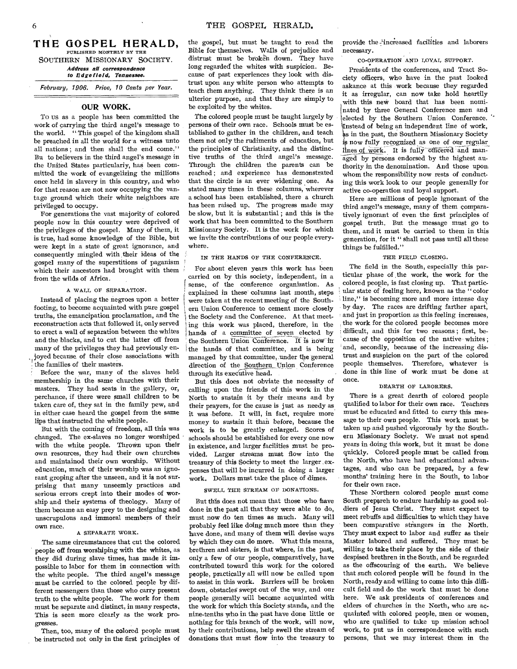THE GOSPEL HERALD. PUBLISHED MONTHLY BY THE SOUTHERN MISSIONARY SOCIETY. *Address all correspondence to 13dge field, Tennessee.* 

Februaru, 1906. Price, 10 Cents per Year.

# **OUR WORK.**

To us as a people has been committed the work of carrying the third angel's message to the world. "This gospel of the kingdom shall be preached in all the world for a witness unto all nations; and then shall the end come." Bu to believers in the third angel's message in the United States particularly, has been committed the work of evangelizing the millions once held in slavery in this country, and who for that reason are not now occupying the vantage ground which their white neighbors are privileged to occupy.

For generations the vast majority of colored people now in this country were deprived of the privileges of the gospel. Many of them, it is true, had some knowledge of the Bible, but were kept in a state of great ignorance, and consequently mingled with their ideas of the gospel many of the superstitions of paganism which their ancestors had brought with them from the wilds of Africa.

# A WALL OF SEPARATION.

Instead of placing the negroes upon a better footing, to become acquainted with pure gospel truths, the emancipation proclamation, and the reconstruction acts that followed it, only served to erect a wall of separation between the whites and the blacks, and to cut the latter off from many of the privileges they had previously enjoyed because of their close associations with the families of their masters.

Before the war, many of the slaves held membership in the same churches with their masters. They had seats in the gallery, or, perchance, if there were small children to be taken care of, they sat in the family pew, and in either case heard the gospel from the same lips that instructed the white people.

But with the coming of freedom, all this was changed. The ex-slaves no longer worshiped with the white people. Thrown upon their own resources, they had their own churches and maintainod their own worship. Without education, much of their worship was an ignorant groping after the unseen, and it is not surprising that many unseemly practices and serious errors crept into their modes of worship and their systems of theology. Many of them became an easy prey to the designing and unscrupulous and immoral members of their own race.

#### A SEPARATE WORK.

The same circumstances that cut the colored people off from worshiping with the whites, as they did during slave times, has made it impossible to labor for them in connection with the white people. The third angel's message must be carried to the colored people by different messengers than those who carry present truth to the white people. The work for them must be separate and distinct, in many respects, This is seen more clearly as the work progresses.

Then, too, many of the colored people must be instructed not only in the first principles of

the gospel, but must be taught to read the Bible for themselves. Walls of prejudice and distrust must be broken down. They have long regarded the whites with suspicion. Because of past experiences they look with distrust upon any white person who attempts to teach them anything. They think there is an ulterior purpose, and that they are simply to be exploited by the whites.

The colored people must be taught largely by persons of their own race. Schools must be established to gather in the children, and teach them not only the rudiments of education, but the principles of Christianity, and the distinctive truths of the third angel's message. Through the children the parents can be reached ; and experience has demonstrated that the circle is an ever widening one. As stated many times in these columns, wherever a school has been established, there a church has been raised up. The progress made may be slow, but it is substantial ; and this is the work that has been committed to the Southern Missionary Society. It is the work for which we invite the contributions of our people everywhere.

IN THE HANDS OF THE CONFERENCE.

For about eleven years this work has been carried on by this society, independent, in a sense, of the conference organization. As explained in these columns last month, steps were taken at the recent meeting of the Southern Union Conference to cement more closely the Society and the Conference. At that meeting this work was placed, therefore, in the hands of a committee of seven elected by the Southern Union Conference. It is now in the hands of that committee, and is being managed by that committee, under the general direction of the Southern Union Conference through its executive head.

But this does not obviate the necessity of calling upon the friends of this work in the North to sustain it by their means and by their prayers, for the cause is just as needy as it was .before. It will, in fact, require more money to sustain it than before, because the work is to be greatly enlarged. Scores of schools should be established for every one now in existence, and larger facilities must be provided. Larger streams must flow into the treasury of this Society to meet the larger expenses that will be incurred in doing a larger work. Dollars must take the place of dimes.

#### SWELL THE STREAM OF DONATIONS.

But this does not mean that those who have done in the past all that they were able to do, must now do ten times as much. Many will probably feel like doing much more than they have done, and many of them will devise ways by which they can do more. What this means, brethren and sisters, is that where, in the past, only a few of our people, comparatively, have contributed toward this work for the colored people, practically all will now be called upon to assist in this work. Barriers will be broken down, obstacles swept out of the way, and our people generally will become acquainted with the work for which this Society stands, and the nine-tenths who in the past have done little or nothing for this branch of the work, will now, by their contributions, help swell the stream of donations that must flow into the treasury to

provide the increased facilities and laborers necessary.

#### CO-OPERATION AND LOYAL SUPPORT.

Presidents of the conferences, and Tract Society officers, who have in the past looked askance at this work because they regarded it as irregular, can now take hold heartily with this new board that has been nominated by three General Conference men and elected by the Southern Union Conference. !Instead of being an independent line of work, as in the past, the Southern Missionary Society is now fully recognized as one of our regular lines of work. It is fully officered and managed by persons endorsed by the highest authority in the denomination. And those upon, whom the responsibility now rests of conducting this work look to our people generally for active co-operation and loyal support.

Here are millions of people ignorant of the third angel's message, many of them comparatively ignorant of even the first principles of gospel truth. But the message must go to them, and it must be carried to them in this generation, for it " shall not pass until all these things be fulfilled."

# THE FIELD CLOSING.

The field in the South, especially this particular phase of the work, the work for the colored people, is fast closing up. That particular state of feeling here, known as the "color line," is becoming more and more intense day by day. The races are drifting farther apart, and just in proportion as this feeling increases, the work for the colored people becomes more difficult, and this for two reasons ; first, because of the opposition of the native whites ; and, secondly, because of the increasing distrust and suspicion on the part of the colored people themselves. Therefore, whatever is done in this line of work must be done at once.

#### DEARTH OF LABORERS.

There is a great dearth of colored people qualified to labor for their own race. Teachers must be educated and fitted to carry this message to their own people. This work must be taken up and pushed vigorously by the Southern Missionary Society. We must not spend years in doing this work, but it must be done quickly. Colored people must be called from the North, who have had educational advantages, and who can be prepared, by a few months' training here in the South, to labor for their own race.

These Northern colored people must come South prepareh to endure hardship as good soldiers of Jesus Christ. They must expect to meet rebuffs and difficulties to which they have been comparative strangers in the North. They must expect to labor and suffer as their Master labored and suffered. They must be willing to take their place by the side of their despised brethren in the South, and be regarded as the offscouring of the earth. We believe that such colored people will be found in the North, ready and willing to come into this difficult field and do the work that must be done here. We ask presidents of conferences and elders of churches in the North, who are acquainted with colored people, men or women, who are qualified to take up mission school work, to put us in correspondence with such persons, that we may interest them in the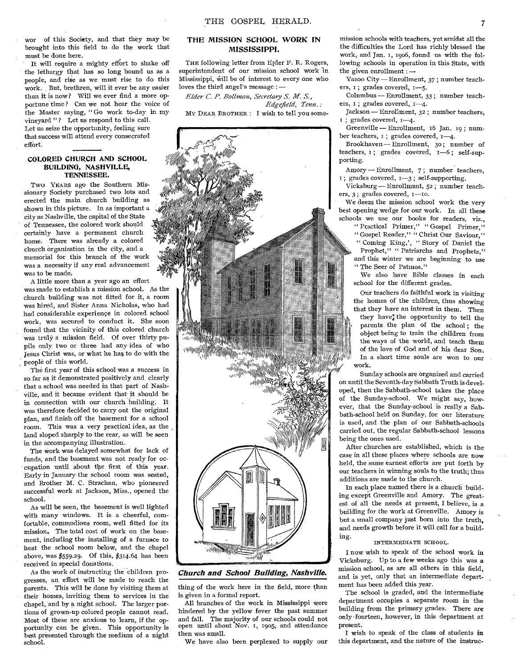wor of this Society, and that they may be brought into this field to do the work that must be done here.

It will require a mighty effort to shake off the lethargy that has so long bound us as a people, and rise as we must rise to do this work. But, brethren, will it ever be any easier than it is now? Will we ever find a more opportune time ? Can we not hear the voice of the Master saying, " Go work to-day in my vineyard "? Let us respond to this call. Let us seize the opportunity, feeling sure that success will attend every consecrated effort.

# **COLORED CHURCH AND SCHOOL BUILDING, NASHVILLE, TENNESSEE.**

Two YEARS ago the Southern Missionary Society purchased two lots and erected the main church building as shown in this picture. In as important a city as Nashville, the capital of the State of Tennessee, the colored work should certainly have a permanent church home. There was already a colored church organization in the city, and a memorial for this branch of the work was a necessity if any real advancement was to be made.

A little more than a year ago an effort

was made to establish a mission school. As the church building was not fitted for it, a room was hired, and Sister Anna Nicholas, who had had considerable experience in colored school work, was secured to conduct it. She soon found that the vicinity of this colored church was truly a mission field. Of over thirty pupils only two or three had any idea of who Jesus Christ was, or what he has, to do with the people of this world.

The first year of this school was a success in so far as it demonstrated positively and clearly that a school was needed in that part of Nashville, and it became evident that it should be in connection with our church building. It was therefore decided to carry out the original plan, and finish off the basement for a school room. This was a very practical idea, as the land sloped sharply to the rear, as will be seen in the accompanying illustration.

The work was delayed somewhat for lack of funds, and the basement was not ready for oc- - cupation until about the first of this year. Early in January the school room was seated, and Brother M. C. Strachan, who pioneered successful work at Jackson, Miss., opened the school.

As will be seen, the basement is well lighted with many windows. It is a cheerful, comfortable, commodious room, well fitted for its mission. The total cost of work on the basement, including the installing of a furnace to heat the school room below, and the chapel above, was \$559.29. Of this, \$314.64 has been received in special donations.

As the work of instructing the children progresses, an effort will be made to reach the parents. This will be done by visiting them at their homes, inviting them to services in the chapel, and by a night school. The larger portions of grown-up colored people cannot read. Most of these are anxious to learn, if the opportunity can he given. This opportunity is best presented through the medium of a night school.

# **THE MISSION SCHOOL WORK IN MISSISSIPPI.**

THE following letter from E<sub>lder F. R. Rogers,</sub> superintendent of our mission school work in Mississippi, will be of interest to every one who loves the third angel's message : *—* 

*Elder C. P. Bollman, Secretary S. M. S., Edgefield, Tenn.:*  MV DEAR BROTHER : I wish to tell you some-



*Church and School Building, Nashville.* 

thing of the work here in the field, more than is given in a formal report.

All branches of the work in Mississippi were hindered by the yellow fever the past summer and fall. The majority of our schools could not open until about Nov. I, 1905, and attendance then was small.

We have also been perplexed to supply our

mission schools with teachers, yet amidst all the the difficulties the Lord has richly blessed the work, and Jan. I, 1906, found us with the following schools in operation in this State, with the given enrollment : —

Yazoo City —Enrollment, *37 ;* number teachers,  $\overline{\mathbf{i}}$ ; grades covered,  $\overline{\mathbf{i} - 5}$ .

Columbus — Enrollment, 33 ; number teachers, I ; grades covered, I-4.

Jackson — Enrollment, 32 ; number teachers, ; grades covered, 1-4.

Greenville — Enrollment, 16 Jan. 19 ; number teachers,  $i$ ; grades covered,  $i$ -4.

Brookhaven — Enrollment, 3o ; number of teachers, 1; grades covered, 1-6; self-supporting.

Amory — Enrollment, 7; number teachers,  $i$ ; grades covered,  $i-3$ ; self-supporting.

Vicksburg — Enrollment, 52 ; number teachers, 3; grades covered, I-Io.

We deem the mission school work **the** very best opening wedge for our work. In all these schools we use our books for readers, viz.,

" Practical Primer," " Gospel Primer,"

" Gospel Reader," " Christ Our Saviour,"

" Coming King,', " Story of Daniel the Prophet," " Patriarchs and Prophets," and this winter we are beginning to use " The Seer of Patmos."

We also have Bible classes in each school for the different grades.

Our teachers do faithful work in visiting the homes of the children, thus showing that they have an interest in them. Then

they have, the opportunity to tell the parents the plan of the school ; the object being to train the children from the ways of the world, and teach them of the love of God and of his dear Son. In a short time souls are won to our work.

Sunday schools are organized and carried on until the Seventh-day Sabbath Truth is developed, then the Sabbath-school takes the place of the Sunday-school. We might say, however, that the Sunday-school is really a Sabbath-school held on Sunday, for our literature is used, and the plan of our Sabbath-schools carried out, the regular Sabbath-school lessons being the ones used.

After churches are established, which is the case in all these places where schools are now held, the same earnest efforts are put forth by our teachers in winning souls to the truth; thus additions are made to the church.

In each place named there is a church building except Greenville and Amory. The greatest of all the needs at present, I believe, is a building for the work at Greenville. Amory is but a small company just born into the truth, and needs growth before it will call for a building.

# INTERMEDIATE SCHOOL.

I now wish to speak of the school work in Vicksburg. Up to a few weeks ago this was a mission school, as are all others in this field, and is yet, only that an intermediate department has been added this year.

The school is graded, and the intermediate department occupies a separate room in the building from the primary grades. There are only fourteen, however, in this department at present.

I wish to speak of the class of students **in**  this department, and the nature of the instruc-